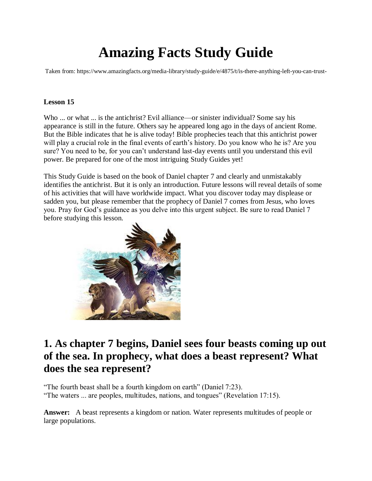# **Amazing Facts Study Guide**

Taken from: https://www.amazingfacts.org/media-library/study-guide/e/4875/t/is-there-anything-left-you-can-trust-

### **Lesson 15**

Who ... or what ... is the antichrist? Evil alliance—or sinister individual? Some say his appearance is still in the future. Others say he appeared long ago in the days of ancient Rome. But the Bible indicates that he is alive today! Bible prophecies teach that this antichrist power will play a crucial role in the final events of earth's history. Do you know who he is? Are you sure? You need to be, for you can't understand last-day events until you understand this evil power. Be prepared for one of the most intriguing Study Guides yet!

This Study Guide is based on the book of Daniel chapter 7 and clearly and unmistakably identifies the antichrist. But it is only an introduction. Future lessons will reveal details of some of his activities that will have worldwide impact. What you discover today may displease or sadden you, but please remember that the prophecy of Daniel 7 comes from Jesus, who loves you. Pray for God's guidance as you delve into this urgent subject. Be sure to read Daniel 7 before studying this lesson.



# **1. As chapter 7 begins, Daniel sees four beasts coming up out of the sea. In prophecy, what does a beast represent? What does the sea represent?**

"The fourth beast shall be a fourth kingdom on earth" (Daniel 7:23). "The waters ... are peoples, multitudes, nations, and tongues" (Revelation 17:15).

**Answer:** A beast represents a kingdom or nation. Water represents multitudes of people or large populations.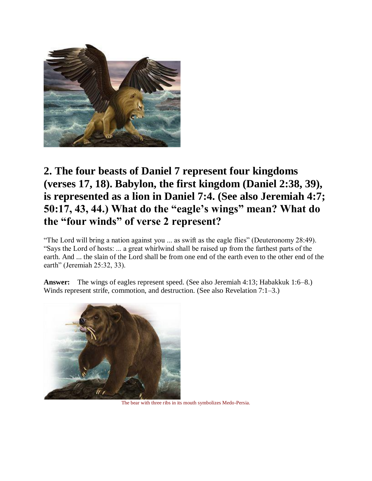

# **2. The four beasts of Daniel 7 represent four kingdoms (verses 17, 18). Babylon, the first kingdom (Daniel 2:38, 39), is represented as a lion in Daniel 7:4. (See also Jeremiah 4:7; 50:17, 43, 44.) What do the "eagle's wings" mean? What do the "four winds" of verse 2 represent?**

"The Lord will bring a nation against you ... as swift as the eagle flies" (Deuteronomy 28:49). "Says the Lord of hosts: ... a great whirlwind shall be raised up from the farthest parts of the earth. And ... the slain of the Lord shall be from one end of the earth even to the other end of the earth" (Jeremiah 25:32, 33).

**Answer:** The wings of eagles represent speed. (See also Jeremiah 4:13; Habakkuk 1:6–8.) Winds represent strife, commotion, and destruction. (See also Revelation 7:1–3.)



The bear with three ribs in its mouth symbolizes Medo-Persia.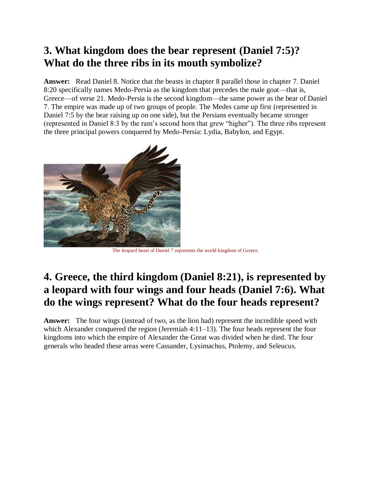# **3. What kingdom does the bear represent (Daniel 7:5)? What do the three ribs in its mouth symbolize?**

**Answer:** Read Daniel 8. Notice that the beasts in chapter 8 parallel those in chapter 7. Daniel 8:20 specifically names Medo-Persia as the kingdom that precedes the male goat—that is, Greece—of verse 21. Medo-Persia is the second kingdom—the same power as the bear of Daniel 7. The empire was made up of two groups of people. The Medes came up first (represented in Daniel 7:5 by the bear raising up on one side), but the Persians eventually became stronger (represented in Daniel 8:3 by the ram's second horn that grew "higher"). The three ribs represent the three principal powers conquered by Medo-Persia: Lydia, Babylon, and Egypt.



The leopard beast of Daniel 7 represents the world kingdom of Greece.

# **4. Greece, the third kingdom (Daniel 8:21), is represented by a leopard with four wings and four heads (Daniel 7:6). What do the wings represent? What do the four heads represent?**

**Answer:** The four wings (instead of two, as the lion had) represent the incredible speed with which Alexander conquered the region (Jeremiah 4:11–13). The four heads represent the four kingdoms into which the empire of Alexander the Great was divided when he died. The four generals who headed these areas were Cassander, Lysimachus, Ptolemy, and Seleucus.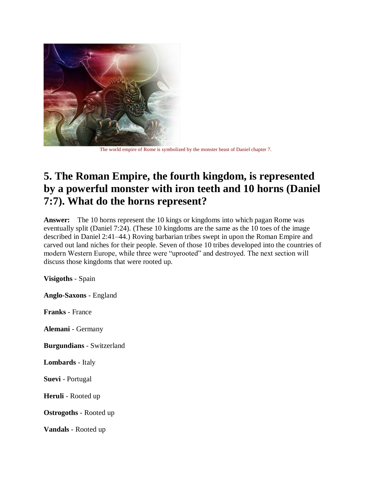

The world empire of Rome is symbolized by the monster beast of Daniel chapter 7.

# **5. The Roman Empire, the fourth kingdom, is represented by a powerful monster with iron teeth and 10 horns (Daniel 7:7). What do the horns represent?**

**Answer:** The 10 horns represent the 10 kings or kingdoms into which pagan Rome was eventually split (Daniel 7:24). (These 10 kingdoms are the same as the 10 toes of the image described in Daniel 2:41–44.) Roving barbarian tribes swept in upon the Roman Empire and carved out land niches for their people. Seven of those 10 tribes developed into the countries of modern Western Europe, while three were "uprooted" and destroyed. The next section will discuss those kingdoms that were rooted up.

**Visigoths** - Spain

**Anglo-Saxons** - England

**Franks** - France

**Alemani** - Germany

**Burgundians** - Switzerland

**Lombards** - Italy

**Suevi** - Portugal

**Heruli** - Rooted up

**Ostrogoths** - Rooted up

**Vandals** - Rooted up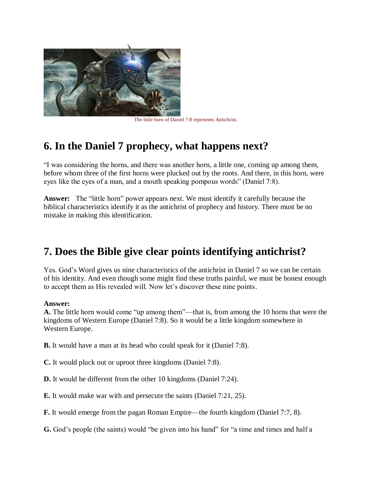

The little horn of Daniel 7:8 represents Antichrist.

# **6. In the Daniel 7 prophecy, what happens next?**

"I was considering the horns, and there was another horn, a little one, coming up among them, before whom three of the first horns were plucked out by the roots. And there, in this horn, were eyes like the eyes of a man, and a mouth speaking pompous words" (Daniel 7:8).

**Answer:** The "little horn" power appears next. We must identify it carefully because the biblical characteristics identify it as the antichrist of prophecy and history. There must be no mistake in making this identification.

# **7. Does the Bible give clear points identifying antichrist?**

Yes. God's Word gives us nine characteristics of the antichrist in Daniel 7 so we can be certain of his identity. And even though some might find these truths painful, we must be honest enough to accept them as His revealed will. Now let's discover these nine points.

### **Answer:**

**A.** The little horn would come "up among them"—that is, from among the 10 horns that were the kingdoms of Western Europe (Daniel 7:8). So it would be a little kingdom somewhere in Western Europe.

**B.** It would have a man at its head who could speak for it (Daniel 7:8).

**C.** It would pluck out or uproot three kingdoms (Daniel 7:8).

**D.** It would be different from the other 10 kingdoms (Daniel 7:24).

**E.** It would make war with and persecute the saints (Daniel 7:21, 25).

**F.** It would emerge from the pagan Roman Empire—the fourth kingdom (Daniel 7:7, 8).

**G.** God's people (the saints) would "be given into his hand" for "a time and times and half a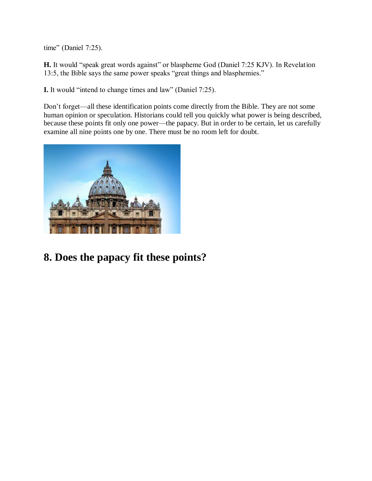time" (Daniel 7:25).

**H.** It would "speak great words against" or blaspheme God (Daniel 7:25 KJV). In Revelation 13:5, the Bible says the same power speaks "great things and blasphemies."

**I.** It would "intend to change times and law" (Daniel 7:25).

Don't forget—all these identification points come directly from the Bible. They are not some human opinion or speculation. Historians could tell you quickly what power is being described, because these points fit only one power—the papacy. But in order to be certain, let us carefully examine all nine points one by one. There must be no room left for doubt.



**8. Does the papacy fit these points?**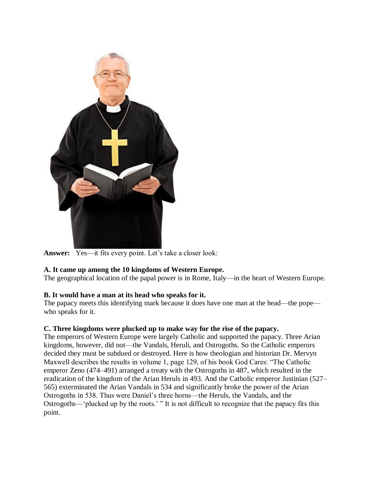

**Answer:** Yes—it fits every point. Let's take a closer look:

### **A. It came up among the 10 kingdoms of Western Europe.**

The geographical location of the papal power is in Rome, Italy—in the heart of Western Europe.

### **B. It would have a man at its head who speaks for it.**

The papacy meets this identifying mark because it does have one man at the head—the pope who speaks for it.

### **C. Three kingdoms were plucked up to make way for the rise of the papacy.**

The emperors of Western Europe were largely Catholic and supported the papacy. Three Arian kingdoms, however, did not—the Vandals, Heruli, and Ostrogoths. So the Catholic emperors decided they must be subdued or destroyed. Here is how theologian and historian Dr. Mervyn Maxwell describes the results in volume 1, page 129, of his book God Cares: "The Catholic emperor Zeno (474–491) arranged a treaty with the Ostrogoths in 487, which resulted in the eradication of the kingdom of the Arian Heruls in 493. And the Catholic emperor Justinian (527– 565) exterminated the Arian Vandals in 534 and significantly broke the power of the Arian Ostrogoths in 538. Thus were Daniel's three horns—the Heruls, the Vandals, and the Ostrogoths—'plucked up by the roots.' " It is not difficult to recognize that the papacy fits this point.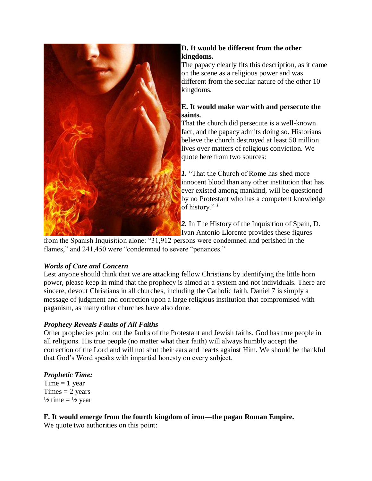

### **D. It would be different from the other kingdoms.**

The papacy clearly fits this description, as it came on the scene as a religious power and was different from the secular nature of the other 10 kingdoms.

### **E. It would make war with and persecute the saints.**

That the church did persecute is a well-known fact, and the papacy admits doing so. Historians believe the church destroyed at least 50 million lives over matters of religious conviction. We quote here from two sources:

*1.* "That the Church of Rome has shed more innocent blood than any other institution that has ever existed among mankind, will be questioned by no Protestant who has a competent knowledge of history." *<sup>1</sup>*

*2.* In The History of the Inquisition of Spain, D. Ivan Antonio Llorente provides these figures

from the Spanish Inquisition alone: "31,912 persons were condemned and perished in the flames," and 241,450 were "condemned to severe "penances."

### *Words of Care and Concern*

Lest anyone should think that we are attacking fellow Christians by identifying the little horn power, please keep in mind that the prophecy is aimed at a system and not individuals. There are sincere, devout Christians in all churches, including the Catholic faith. Daniel 7 is simply a message of judgment and correction upon a large religious institution that compromised with paganism, as many other churches have also done.

### *Prophecy Reveals Faults of All Faiths*

Other prophecies point out the faults of the Protestant and Jewish faiths. God has true people in all religions. His true people (no matter what their faith) will always humbly accept the correction of the Lord and will not shut their ears and hearts against Him. We should be thankful that God's Word speaks with impartial honesty on every subject.

# *Prophetic Time:*

Time  $= 1$  year  $Times = 2$  years  $\frac{1}{2}$  time =  $\frac{1}{2}$  year

# **F. It would emerge from the fourth kingdom of iron—the pagan Roman Empire.**

We quote two authorities on this point: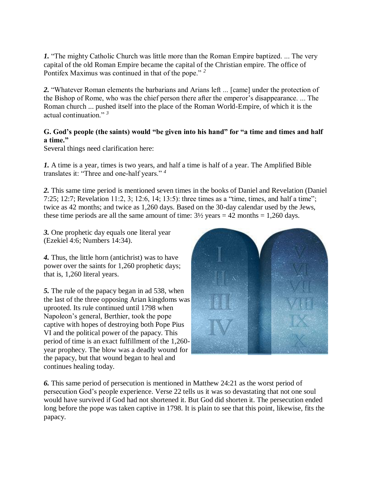*1.* "The mighty Catholic Church was little more than the Roman Empire baptized. ... The very capital of the old Roman Empire became the capital of the Christian empire. The office of Pontifex Maximus was continued in that of the pope." *<sup>2</sup>*

*2.* "Whatever Roman elements the barbarians and Arians left ... [came] under the protection of the Bishop of Rome, who was the chief person there after the emperor's disappearance. ... The Roman church ... pushed itself into the place of the Roman World-Empire, of which it is the actual continuation." *<sup>3</sup>*

### **G. God's people (the saints) would "be given into his hand" for "a time and times and half a time."**

Several things need clarification here:

*1.* A time is a year, times is two years, and half a time is half of a year. The Amplified Bible translates it: "Three and one-half years." *<sup>4</sup>*

*2.* This same time period is mentioned seven times in the books of Daniel and Revelation (Daniel 7:25; 12:7; Revelation 11:2, 3; 12:6, 14; 13:5): three times as a "time, times, and half a time"; twice as 42 months; and twice as 1,260 days. Based on the 30-day calendar used by the Jews, these time periods are all the same amount of time:  $3\frac{1}{2}$  years = 42 months = 1,260 days.

*3.* One prophetic day equals one literal year (Ezekiel 4:6; Numbers 14:34).

*4.* Thus, the little horn (antichrist) was to have power over the saints for 1,260 prophetic days; that is, 1,260 literal years.

*5.* The rule of the papacy began in ad 538, when the last of the three opposing Arian kingdoms was uprooted. Its rule continued until 1798 when Napoleon's general, Berthier, took the pope captive with hopes of destroying both Pope Pius VI and the political power of the papacy. This period of time is an exact fulfillment of the 1,260 year prophecy. The blow was a deadly wound for the papacy, but that wound began to heal and continues healing today.



*6.* This same period of persecution is mentioned in Matthew 24:21 as the worst period of persecution God's people experience. Verse 22 tells us it was so devastating that not one soul would have survived if God had not shortened it. But God did shorten it. The persecution ended long before the pope was taken captive in 1798. It is plain to see that this point, likewise, fits the papacy.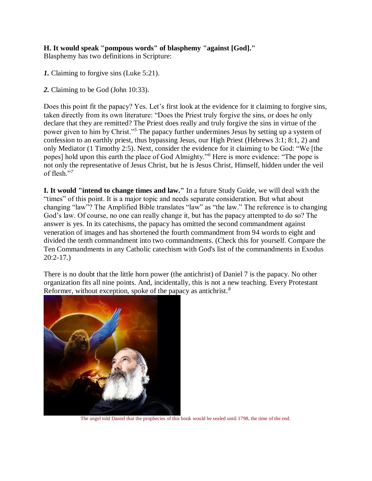# **H. It would speak "pompous words" of blasphemy "against [God]."**

Blasphemy has two definitions in Scripture:

- *1.* Claiming to forgive sins (Luke 5:21).
- *2.* Claiming to be God (John 10:33).

Does this point fit the papacy? Yes. Let's first look at the evidence for it claiming to forgive sins, taken directly from its own literature: "Does the Priest truly forgive the sins, or does he only declare that they are remitted? The Priest does really and truly forgive the sins in virtue of the power given to him by Christ."*<sup>5</sup>* The papacy further undermines Jesus by setting up a system of confession to an earthly priest, thus bypassing Jesus, our High Priest (Hebrews 3:1; 8:1, 2) and only Mediator (1 Timothy 2:5). Next, consider the evidence for it claiming to be God: "We [the popes] hold upon this earth the place of God Almighty."*<sup>6</sup>* Here is more evidence: "The pope is not only the representative of Jesus Christ, but he is Jesus Christ, Himself, hidden under the veil of flesh."*<sup>7</sup>*

**I. It would "intend to change times and law."** In a future Study Guide, we will deal with the "times" of this point. It is a major topic and needs separate consideration. But what about changing "law"? The Amplified Bible translates "law" as "the law." The reference is to changing God's law. Of course, no one can really change it, but has the papacy attempted to do so? The answer is yes. In its catechisms, the papacy has omitted the second commandment against veneration of images and has shortened the fourth commandment from 94 words to eight and divided the tenth commandment into two commandments. (Check this for yourself. Compare the Ten Commandments in any Catholic catechism with God's list of the commandments in Exodus 20:2-17.)

There is no doubt that the little horn power (the antichrist) of Daniel 7 is the papacy. No other organization fits all nine points. And, incidentally, this is not a new teaching. Every Protestant Reformer, without exception, spoke of the papacy as antichrist.*<sup>8</sup>*



The angel told Daniel that the prophecies of this book would be sealed until 1798, the time of the end.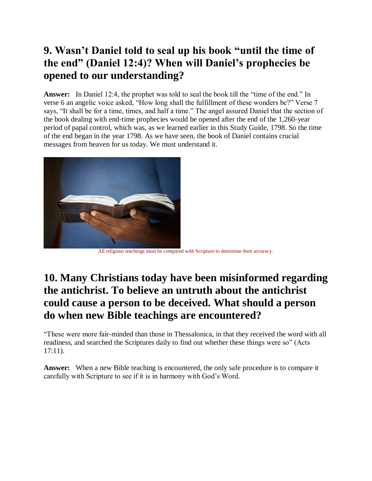# **9. Wasn't Daniel told to seal up his book "until the time of the end" (Daniel 12:4)? When will Daniel's prophecies be opened to our understanding?**

**Answer:** In Daniel 12:4, the prophet was told to seal the book till the "time of the end." In verse 6 an angelic voice asked, "How long shall the fulfillment of these wonders be?" Verse 7 says, "It shall be for a time, times, and half a time." The angel assured Daniel that the section of the book dealing with end-time prophecies would be opened after the end of the 1,260-year period of papal control, which was, as we learned earlier in this Study Guide, 1798. So the time of the end began in the year 1798. As we have seen, the book of Daniel contains crucial messages from heaven for us today. We must understand it.



All religious teachings must be compared with Scripture to determine their accuracy.

# **10. Many Christians today have been misinformed regarding the antichrist. To believe an untruth about the antichrist could cause a person to be deceived. What should a person do when new Bible teachings are encountered?**

"These were more fair-minded than those in Thessalonica, in that they received the word with all readiness, and searched the Scriptures daily to find out whether these things were so" (Acts 17:11).

**Answer:** When a new Bible teaching is encountered, the only safe procedure is to compare it carefully with Scripture to see if it is in harmony with God's Word.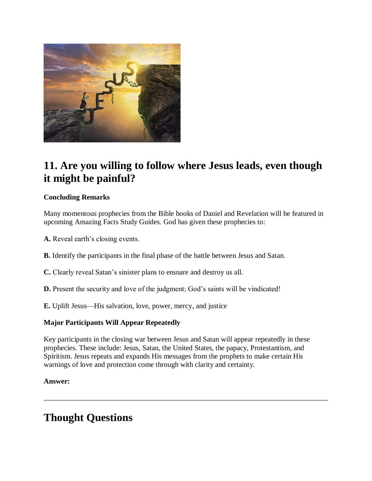

# **11. Are you willing to follow where Jesus leads, even though it might be painful?**

### **Concluding Remarks**

Many momentous prophecies from the Bible books of Daniel and Revelation will be featured in upcoming Amazing Facts Study Guides. God has given these prophecies to:

**A.** Reveal earth's closing events.

**B.** Identify the participants in the final phase of the battle between Jesus and Satan.

- **C.** Clearly reveal Satan's sinister plans to ensnare and destroy us all.
- **D.** Present the security and love of the judgment; God's saints will be vindicated!
- **E.** Uplift Jesus—His salvation, love, power, mercy, and justice

### **Major Participants Will Appear Repeatedly**

Key participants in the closing war between Jesus and Satan will appear repeatedly in these prophecies. These include: Jesus, Satan, the United States, the papacy, Protestantism, and Spiritism. Jesus repeats and expands His messages from the prophets to make certain His warnings of love and protection come through with clarity and certainty.

### **Answer:**

# **Thought Questions**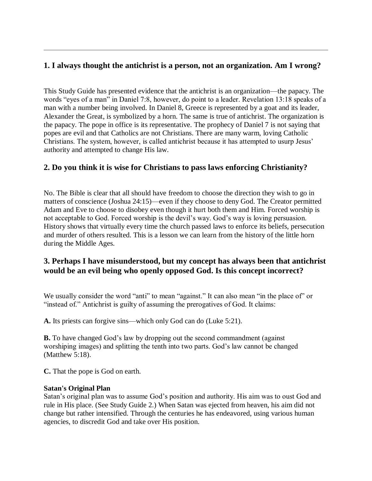# **1. I always thought the antichrist is a person, not an organization. Am I wrong?**

This Study Guide has presented evidence that the antichrist is an organization—the papacy. The words "eyes of a man" in Daniel 7:8, however, do point to a leader. Revelation 13:18 speaks of a man with a number being involved. In Daniel 8, Greece is represented by a goat and its leader, Alexander the Great, is symbolized by a horn. The same is true of antichrist. The organization is the papacy. The pope in office is its representative. The prophecy of Daniel 7 is not saying that popes are evil and that Catholics are not Christians. There are many warm, loving Catholic Christians. The system, however, is called antichrist because it has attempted to usurp Jesus' authority and attempted to change His law.

# **2. Do you think it is wise for Christians to pass laws enforcing Christianity?**

No. The Bible is clear that all should have freedom to choose the direction they wish to go in matters of conscience (Joshua 24:15)—even if they choose to deny God. The Creator permitted Adam and Eve to choose to disobey even though it hurt both them and Him. Forced worship is not acceptable to God. Forced worship is the devil's way. God's way is loving persuasion. History shows that virtually every time the church passed laws to enforce its beliefs, persecution and murder of others resulted. This is a lesson we can learn from the history of the little horn during the Middle Ages.

# **3. Perhaps I have misunderstood, but my concept has always been that antichrist would be an evil being who openly opposed God. Is this concept incorrect?**

We usually consider the word "anti" to mean "against." It can also mean "in the place of" or "instead of." Antichrist is guilty of assuming the prerogatives of God. It claims:

**A.** Its priests can forgive sins—which only God can do (Luke 5:21).

**B.** To have changed God's law by dropping out the second commandment (against worshiping images) and splitting the tenth into two parts. God's law cannot be changed (Matthew 5:18).

**C.** That the pope is God on earth.

### **Satan's Original Plan**

Satan's original plan was to assume God's position and authority. His aim was to oust God and rule in His place. (See Study Guide 2.) When Satan was ejected from heaven, his aim did not change but rather intensified. Through the centuries he has endeavored, using various human agencies, to discredit God and take over His position.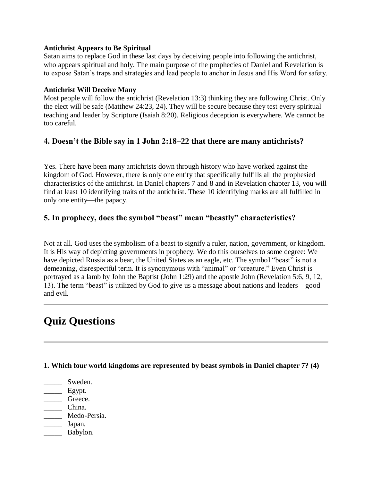### **Antichrist Appears to Be Spiritual**

Satan aims to replace God in these last days by deceiving people into following the antichrist, who appears spiritual and holy. The main purpose of the prophecies of Daniel and Revelation is to expose Satan's traps and strategies and lead people to anchor in Jesus and His Word for safety.

### **Antichrist Will Deceive Many**

Most people will follow the antichrist (Revelation 13:3) thinking they are following Christ. Only the elect will be safe (Matthew 24:23, 24). They will be secure because they test every spiritual teaching and leader by Scripture (Isaiah 8:20). Religious deception is everywhere. We cannot be too careful.

### **4. Doesn't the Bible say in 1 John 2:18–22 that there are many antichrists?**

Yes. There have been many antichrists down through history who have worked against the kingdom of God. However, there is only one entity that specifically fulfills all the prophesied characteristics of the antichrist. In Daniel chapters 7 and 8 and in Revelation chapter 13, you will find at least 10 identifying traits of the antichrist. These 10 identifying marks are all fulfilled in only one entity—the papacy.

# **5. In prophecy, does the symbol "beast" mean "beastly" characteristics?**

Not at all. God uses the symbolism of a beast to signify a ruler, nation, government, or kingdom. It is His way of depicting governments in prophecy. We do this ourselves to some degree: We have depicted Russia as a bear, the United States as an eagle, etc. The symbol "beast" is not a demeaning, disrespectful term. It is synonymous with "animal" or "creature." Even Christ is portrayed as a lamb by John the Baptist (John 1:29) and the apostle John (Revelation 5:6, 9, 12, 13). The term "beast" is utilized by God to give us a message about nations and leaders—good and evil.

# **Quiz Questions**

**1. Which four world kingdoms are represented by beast symbols in Daniel chapter 7? (4)**

- \_\_\_\_\_ Sweden.
- $\equiv$  Egypt.
- \_\_\_\_\_ Greece.
- \_\_\_\_\_ China.
- \_\_\_\_\_ Medo-Persia.
- \_\_\_\_\_ Japan.
- \_\_\_\_\_\_\_ Babylon.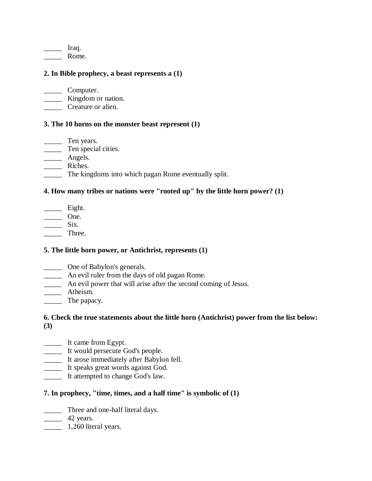$\frac{\ }{\ }$  Iraq. \_\_\_\_\_ Rome.

#### **2. In Bible prophecy, a beast represents a (1)**

\_\_\_\_\_ Computer.

\_\_\_\_\_ Kingdom or nation.

\_\_\_\_\_ Creature or alien.

#### **3. The 10 horns on the monster beast represent (1)**

\_\_\_\_\_ Ten years. **Ten** special cities. \_\_\_\_\_ Angels. \_\_\_\_\_ Riches. \_\_\_\_\_ The kingdoms into which pagan Rome eventually split.

#### **4. How many tribes or nations were "rooted up" by the little horn power? (1)**

\_\_\_\_\_ Eight.  $\frac{1}{\sqrt{1-\frac{1}{2}}}\cdot\frac{1}{\sqrt{1-\frac{1}{2}}}\cdot\frac{1}{\sqrt{1-\frac{1}{2}}}\cdot\frac{1}{\sqrt{1-\frac{1}{2}}}\cdot\frac{1}{\sqrt{1-\frac{1}{2}}}\cdot\frac{1}{\sqrt{1-\frac{1}{2}}}\cdot\frac{1}{\sqrt{1-\frac{1}{2}}}\cdot\frac{1}{\sqrt{1-\frac{1}{2}}}\cdot\frac{1}{\sqrt{1-\frac{1}{2}}}\cdot\frac{1}{\sqrt{1-\frac{1}{2}}}\cdot\frac{1}{\sqrt{1-\frac{1}{2}}}\cdot\frac{1}{\sqrt{1-\frac{1}{2}}}\cdot\frac{1$  $\frac{\ }{\ }$  Six. \_\_\_\_\_ Three.

#### **5. The little horn power, or Antichrist, represents (1)**

- \_\_\_\_\_ One of Babylon's generals.
- \_\_\_\_\_ An evil ruler from the days of old pagan Rome.
- \_\_\_\_\_ An evil power that will arise after the second coming of Jesus.
- \_\_\_\_\_ Atheism.
- \_\_\_\_\_ The papacy.

#### **6. Check the true statements about the little horn (Antichrist) power from the list below: (3)**

- \_\_\_\_\_ It came from Egypt.
- \_\_\_\_\_ It would persecute God's people.
- \_\_\_\_\_ It arose immediately after Babylon fell.
- \_\_\_\_\_ It speaks great words against God.
- It attempted to change God's law.

#### **7. In prophecy, "time, times, and a half time" is symbolic of (1)**

\_\_\_\_\_ Three and one-half literal days.

 $\frac{42 \text{ years}}{2}$ 

**\_\_\_\_\_** 1,260 literal years.